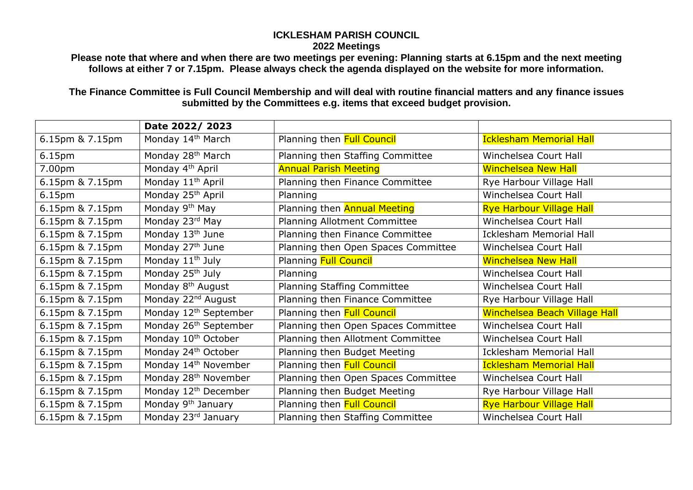## **ICKLESHAM PARISH COUNCIL 2022 Meetings**

**Please note that where and when there are two meetings per evening: Planning starts at 6.15pm and the next meeting follows at either 7 or 7.15pm. Please always check the agenda displayed on the website for more information.**

**The Finance Committee is Full Council Membership and will deal with routine financial matters and any finance issues submitted by the Committees e.g. items that exceed budget provision.**

|                    | Date 2022/2023                    |                                     |                                 |
|--------------------|-----------------------------------|-------------------------------------|---------------------------------|
| 6.15pm & 7.15pm    | Monday 14 <sup>th</sup> March     | Planning then Full Council          | <b>Icklesham Memorial Hall</b>  |
| 6.15 <sub>pm</sub> | Monday 28 <sup>th</sup> March     | Planning then Staffing Committee    | Winchelsea Court Hall           |
| 7.00pm             | Monday 4 <sup>th</sup> April      | <b>Annual Parish Meeting</b>        | <b>Winchelsea New Hall</b>      |
| 6.15pm & 7.15pm    | Monday 11 <sup>th</sup> April     | Planning then Finance Committee     | Rye Harbour Village Hall        |
| 6.15pm             | Monday 25 <sup>th</sup> April     | Planning                            | Winchelsea Court Hall           |
| 6.15pm & 7.15pm    | Monday 9 <sup>th</sup> May        | Planning then <b>Annual Meeting</b> | <b>Rye Harbour Village Hall</b> |
| 6.15pm & 7.15pm    | Monday 23rd May                   | Planning Allotment Committee        | Winchelsea Court Hall           |
| 6.15pm & 7.15pm    | Monday 13 <sup>th</sup> June      | Planning then Finance Committee     | <b>Icklesham Memorial Hall</b>  |
| 6.15pm & 7.15pm    | Monday 27 <sup>th</sup> June      | Planning then Open Spaces Committee | Winchelsea Court Hall           |
| 6.15pm & 7.15pm    | Monday 11 <sup>th</sup> July      | <b>Planning Full Council</b>        | <b>Winchelsea New Hall</b>      |
| 6.15pm & 7.15pm    | Monday 25 <sup>th</sup> July      | Planning                            | Winchelsea Court Hall           |
| 6.15pm & 7.15pm    | Monday 8 <sup>th</sup> August     | Planning Staffing Committee         | Winchelsea Court Hall           |
| 6.15pm & 7.15pm    | Monday 22 <sup>nd</sup> August    | Planning then Finance Committee     | Rye Harbour Village Hall        |
| 6.15pm & 7.15pm    | Monday 12 <sup>th</sup> September | Planning then Full Council          | Winchelsea Beach Village Hall   |
| 6.15pm & 7.15pm    | Monday 26 <sup>th</sup> September | Planning then Open Spaces Committee | Winchelsea Court Hall           |
| 6.15pm & 7.15pm    | Monday 10 <sup>th</sup> October   | Planning then Allotment Committee   | Winchelsea Court Hall           |
| 6.15pm & 7.15pm    | Monday 24th October               | Planning then Budget Meeting        | <b>Icklesham Memorial Hall</b>  |
| 6.15pm & 7.15pm    | Monday 14 <sup>th</sup> November  | Planning then Full Council          | <b>Icklesham Memorial Hall</b>  |
| 6.15pm & 7.15pm    | Monday 28 <sup>th</sup> November  | Planning then Open Spaces Committee | Winchelsea Court Hall           |
| 6.15pm & 7.15pm    | Monday 12 <sup>th</sup> December  | Planning then Budget Meeting        | Rye Harbour Village Hall        |
| 6.15pm & 7.15pm    | Monday 9 <sup>th</sup> January    | Planning then Full Council          | <b>Rye Harbour Village Hall</b> |
| 6.15pm & 7.15pm    | Monday 23rd January               | Planning then Staffing Committee    | Winchelsea Court Hall           |